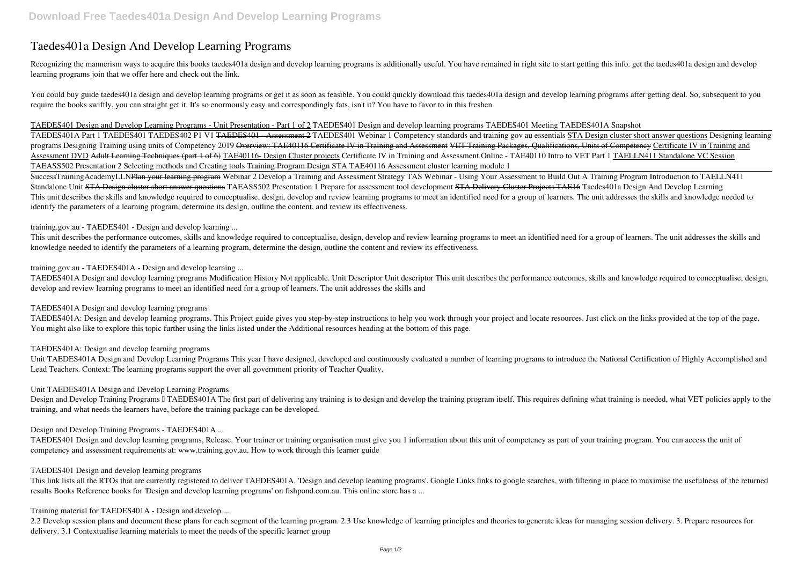# **Taedes401a Design And Develop Learning Programs**

Recognizing the mannerism ways to acquire this books taedes401a design and develop learning programs is additionally useful. You have remained in right site to start getting this info. get the taedes401a design and develop learning programs join that we offer here and check out the link.

You could buy guide taedes401a design and develop learning programs or get it as soon as feasible. You could quickly download this taedes401a design and develop learning programs after getting deal. So, subsequent to you require the books swiftly, you can straight get it. It's so enormously easy and correspondingly fats, isn't it? You have to favor to in this freshen

SuccessTrainingAcademyLLN<del>Plan your learning program</del> Webinar 2 Develop a Training and Assessment Strategy TAS Webinar - Using Your Assessment to Build Out A Training Program Introduction to TAELLN411 *Standalone Unit* STA Design cluster short answer questions **TAEASS502 Presentation 1 Prepare for assessment tool development** STA Delivery Cluster Projects TAE16 Taedes401a Design And Develop Learning This unit describes the skills and knowledge required to conceptualise, design, develop and review learning programs to meet an identified need for a group of learners. The unit addresses the skills and knowledge needed to identify the parameters of a learning program, determine its design, outline the content, and review its effectiveness.

TAEDES401 Design and Develop Learning Programs - Unit Presentation - Part 1 of 2 TAEDES401 Design and develop learning programs TAEDES401 Meeting TAEDES401A Snapshot TAEDES401A Part 1 TAEDES401 TAEDES402 P1 V1 TAEDES401 - Assessment 2 **TAEDES401** *Webinar 1 Competency standards and training gov au essentials* STA Design cluster short answer questions *Designing learning programs* Designing Training using units of Competency 2019 Overview: TAE40116 Certificate IV in Training and Assessment VET Training Packages, Qualifications, Units of Competency Certificate IV in Training and Assessment DVD Adult Learning Techniques (part 1 of 6) TAE40116- Design Cluster projects Certificate IV in Training and Assessment Online - TAE40110 Intro to VET Part 1 TAELLN411 Standalone VC Session TAEASS502 Presentation 2 Selecting methods and Creating tools Training Program Design *STA TAE40116 Assessment cluster learning module 1*

Unit TAEDES401A Design and Develop Learning Programs This year I have designed, developed and continuously evaluated a number of learning programs to introduce the National Certification of Highly Accomplished and Lead Teachers. Context: The learning programs support the over all government priority of Teacher Quality.

Design and Develop Training Programs I TAEDES401A The first part of delivering any training is to design and develop the training program itself. This requires defining what training is needed, what VET policies apply to t training, and what needs the learners have, before the training package can be developed.

training.gov.au - TAEDES401 - Design and develop learning ...

This link lists all the RTOs that are currently registered to deliver TAEDES401A, 'Design and develop learning programs'. Google Links links to google searches, with filtering in place to maximise the usefulness of the ret results Books Reference books for 'Design and develop learning programs' on fishpond.com.au. This online store has a ...

This unit describes the performance outcomes, skills and knowledge required to conceptualise, design, develop and review learning programs to meet an identified need for a group of learners. The unit addresses the skills and knowledge needed to identify the parameters of a learning program, determine the design, outline the content and review its effectiveness.

2.2 Develop session plans and document these plans for each segment of the learning program. 2.3 Use knowledge of learning principles and theories to generate ideas for managing session delivery. 3. Prepare resources for delivery. 3.1 Contextualise learning materials to meet the needs of the specific learner group

training.gov.au - TAEDES401A - Design and develop learning ...

TAEDES401A Design and develop learning programs Modification History Not applicable. Unit Descriptor Unit descriptor This unit describes the performance outcomes, skills and knowledge required to conceptualise, design, develop and review learning programs to meet an identified need for a group of learners. The unit addresses the skills and

# TAEDES401A Design and develop learning programs

TAEDES401A: Design and develop learning programs. This Project guide gives you step-by-step instructions to help you work through your project and locate resources. Just click on the links provided at the top of the page. You might also like to explore this topic further using the links listed under the Additional resources heading at the bottom of this page.

#### TAEDES401A: Design and develop learning programs

#### Unit TAEDES401A Design and Develop Learning Programs

#### Design and Develop Training Programs - TAEDES401A ...

TAEDES401 Design and develop learning programs, Release. Your trainer or training organisation must give you 1 information about this unit of competency as part of your training program. You can access the unit of competency and assessment requirements at: www.training.gov.au. How to work through this learner guide

#### TAEDES401 Design and develop learning programs

Training material for TAEDES401A - Design and develop ...